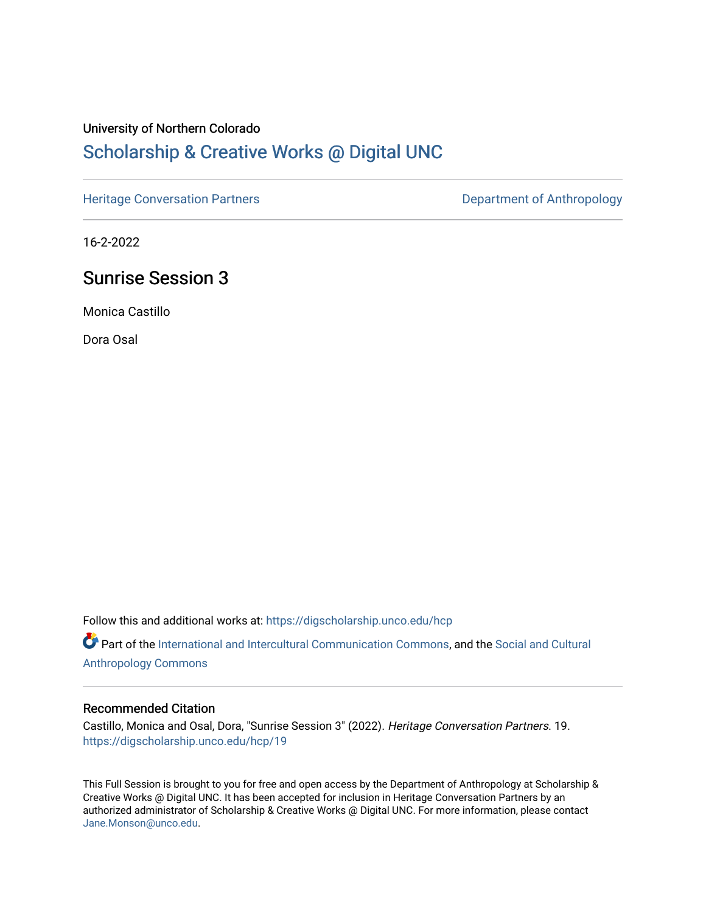#### University of Northern Colorado

# [Scholarship & Creative Works @ Digital UNC](https://digscholarship.unco.edu/)

[Heritage Conversation Partners](https://digscholarship.unco.edu/hcp) **Department of Anthropology** 

16-2-2022

# Sunrise Session 3

Monica Castillo

Dora Osal

Follow this and additional works at: [https://digscholarship.unco.edu/hcp](https://digscholarship.unco.edu/hcp?utm_source=digscholarship.unco.edu%2Fhcp%2F19&utm_medium=PDF&utm_campaign=PDFCoverPages) 

Part of the [International and Intercultural Communication Commons,](http://network.bepress.com/hgg/discipline/331?utm_source=digscholarship.unco.edu%2Fhcp%2F19&utm_medium=PDF&utm_campaign=PDFCoverPages) and the Social and Cultural [Anthropology Commons](http://network.bepress.com/hgg/discipline/323?utm_source=digscholarship.unco.edu%2Fhcp%2F19&utm_medium=PDF&utm_campaign=PDFCoverPages)

#### Recommended Citation

Castillo, Monica and Osal, Dora, "Sunrise Session 3" (2022). Heritage Conversation Partners. 19. [https://digscholarship.unco.edu/hcp/19](https://digscholarship.unco.edu/hcp/19?utm_source=digscholarship.unco.edu%2Fhcp%2F19&utm_medium=PDF&utm_campaign=PDFCoverPages) 

This Full Session is brought to you for free and open access by the Department of Anthropology at Scholarship & Creative Works @ Digital UNC. It has been accepted for inclusion in Heritage Conversation Partners by an authorized administrator of Scholarship & Creative Works @ Digital UNC. For more information, please contact [Jane.Monson@unco.edu.](mailto:Jane.Monson@unco.edu)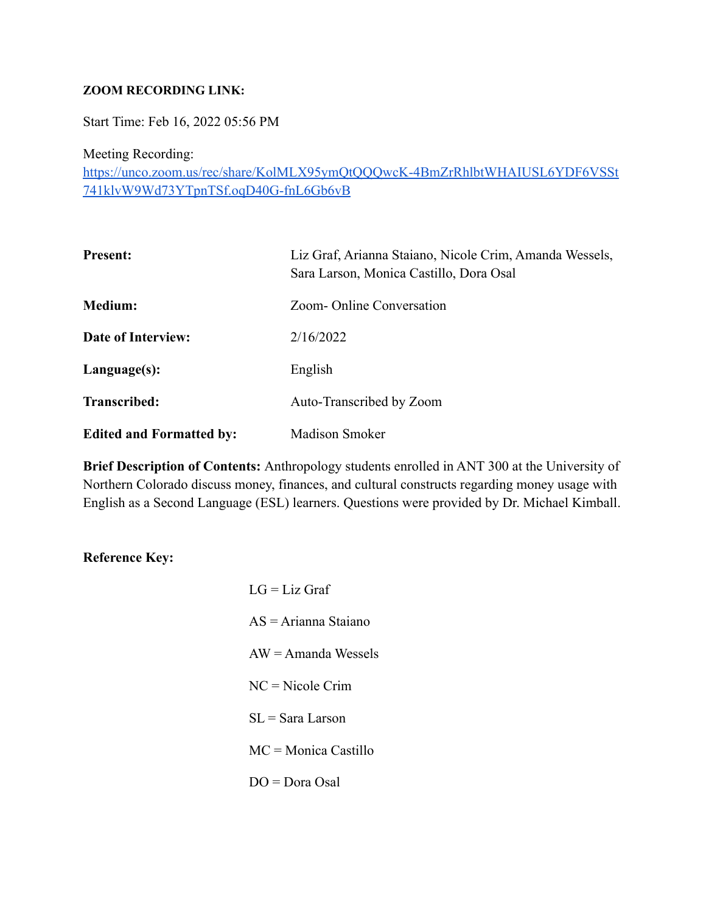#### **ZOOM RECORDING LINK:**

Start Time: Feb 16, 2022 05:56 PM

Meeting Recording:

[https://unco.zoom.us/rec/share/KolMLX95ymQtQQQwcK-4BmZrRhlbtWHAIUSL6YDF6VSSt](https://unco.zoom.us/rec/share/KolMLX95ymQtQQQwcK-4BmZrRhlbtWHAIUSL6YDF6VSSt741klvW9Wd73YTpnTSf.oqD40G-fnL6Gb6vB) [741klvW9Wd73YTpnTSf.oqD40G-fnL6Gb6vB](https://unco.zoom.us/rec/share/KolMLX95ymQtQQQwcK-4BmZrRhlbtWHAIUSL6YDF6VSSt741klvW9Wd73YTpnTSf.oqD40G-fnL6Gb6vB)

| <b>Present:</b>                 | Liz Graf, Arianna Staiano, Nicole Crim, Amanda Wessels,<br>Sara Larson, Monica Castillo, Dora Osal |
|---------------------------------|----------------------------------------------------------------------------------------------------|
| <b>Medium:</b>                  | Zoom-Online Conversation                                                                           |
| Date of Interview:              | 2/16/2022                                                                                          |
| Language(s):                    | English                                                                                            |
| <b>Transcribed:</b>             | Auto-Transcribed by Zoom                                                                           |
| <b>Edited and Formatted by:</b> | <b>Madison Smoker</b>                                                                              |

**Brief Description of Contents:** Anthropology students enrolled in ANT 300 at the University of Northern Colorado discuss money, finances, and cultural constructs regarding money usage with English as a Second Language (ESL) learners. Questions were provided by Dr. Michael Kimball.

### **Reference Key:**

| $LG = Liz$ Graf               |
|-------------------------------|
| $AS = Arianna Staiano$        |
| $AW = A$ manda Wessels        |
| $NC = Nicole Crim$            |
| $SL =$ Sara Larson            |
| $MC = \text{Monica}$ Castillo |
| $DO = Dora Osal$              |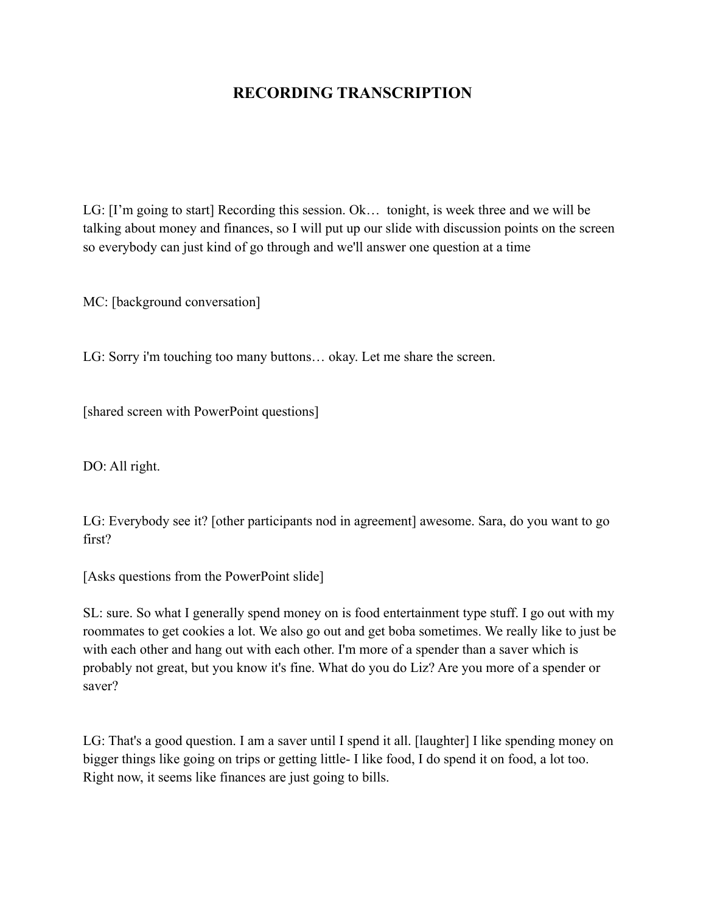### **RECORDING TRANSCRIPTION**

LG: [I'm going to start] Recording this session. Ok… tonight, is week three and we will be talking about money and finances, so I will put up our slide with discussion points on the screen so everybody can just kind of go through and we'll answer one question at a time

MC: [background conversation]

LG: Sorry i'm touching too many buttons… okay. Let me share the screen.

[shared screen with PowerPoint questions]

DO: All right.

LG: Everybody see it? [other participants nod in agreement] awesome. Sara, do you want to go first?

[Asks questions from the PowerPoint slide]

SL: sure. So what I generally spend money on is food entertainment type stuff. I go out with my roommates to get cookies a lot. We also go out and get boba sometimes. We really like to just be with each other and hang out with each other. I'm more of a spender than a saver which is probably not great, but you know it's fine. What do you do Liz? Are you more of a spender or saver?

LG: That's a good question. I am a saver until I spend it all. [laughter] I like spending money on bigger things like going on trips or getting little- I like food, I do spend it on food, a lot too. Right now, it seems like finances are just going to bills.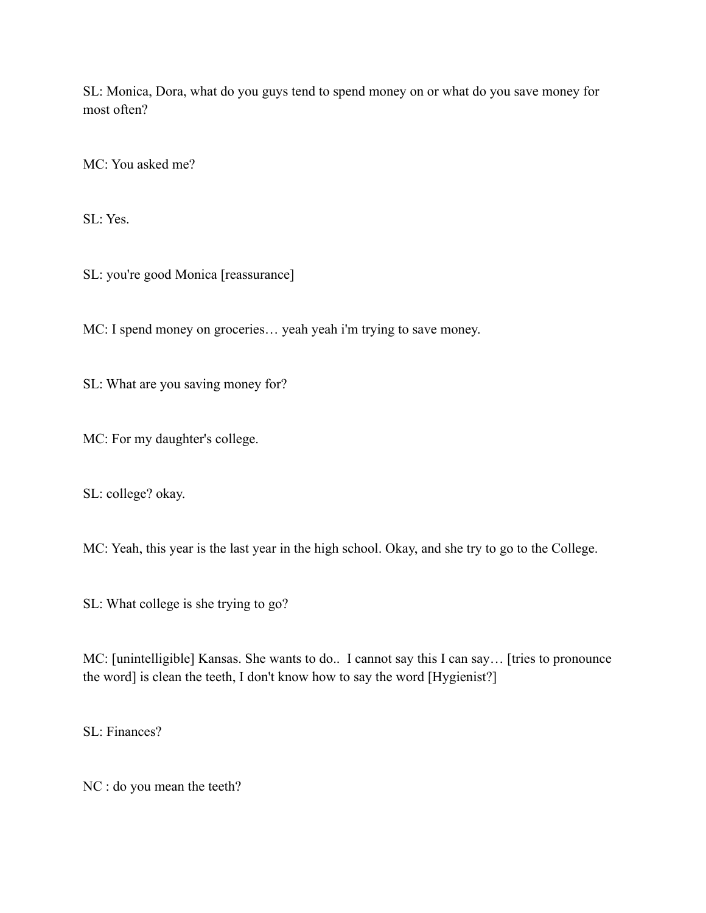SL: Monica, Dora, what do you guys tend to spend money on or what do you save money for most often?

MC: You asked me?

SL: Yes.

SL: you're good Monica [reassurance]

MC: I spend money on groceries… yeah yeah i'm trying to save money.

SL: What are you saving money for?

MC: For my daughter's college.

SL: college? okay.

MC: Yeah, this year is the last year in the high school. Okay, and she try to go to the College.

SL: What college is she trying to go?

MC: [unintelligible] Kansas. She wants to do.. I cannot say this I can say… [tries to pronounce the word] is clean the teeth, I don't know how to say the word [Hygienist?]

SL: Finances?

NC : do you mean the teeth?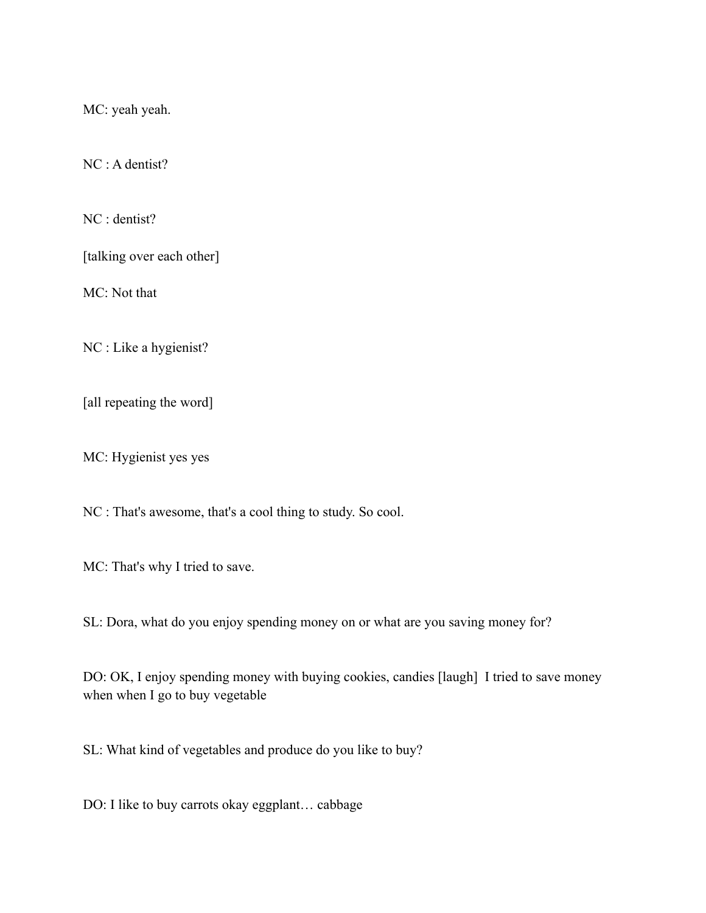MC: yeah yeah.

NC : A dentist?

NC : dentist?

[talking over each other]

MC: Not that

NC : Like a hygienist?

[all repeating the word]

MC: Hygienist yes yes

NC : That's awesome, that's a cool thing to study. So cool.

MC: That's why I tried to save.

SL: Dora, what do you enjoy spending money on or what are you saving money for?

DO: OK, I enjoy spending money with buying cookies, candies [laugh] I tried to save money when when I go to buy vegetable

SL: What kind of vegetables and produce do you like to buy?

DO: I like to buy carrots okay eggplant… cabbage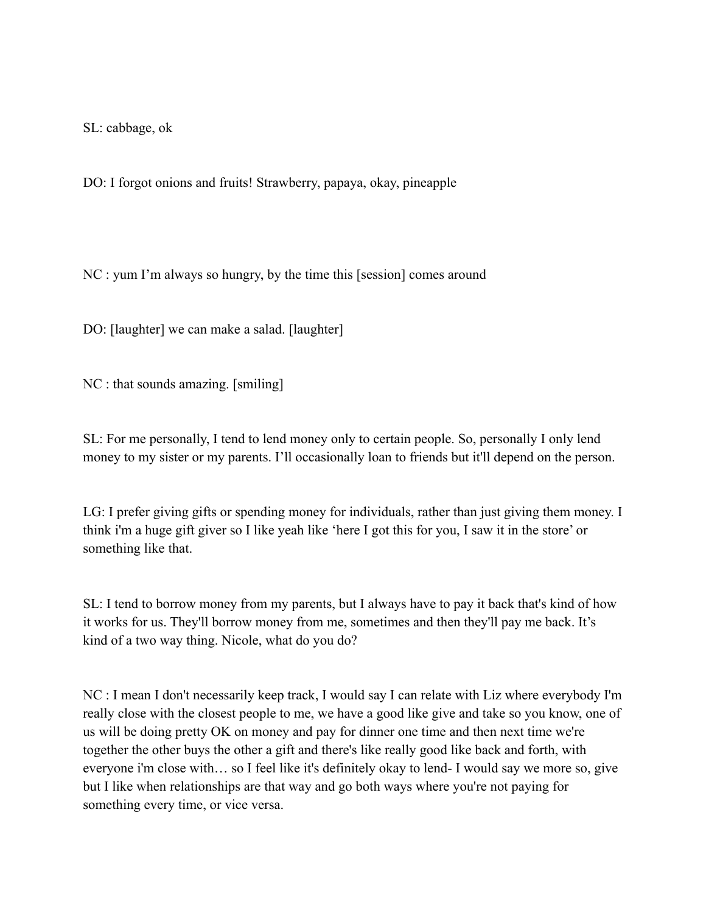SL: cabbage, ok

DO: I forgot onions and fruits! Strawberry, papaya, okay, pineapple

NC : yum I'm always so hungry, by the time this [session] comes around

DO: [laughter] we can make a salad. [laughter]

NC : that sounds amazing. [smiling]

SL: For me personally, I tend to lend money only to certain people. So, personally I only lend money to my sister or my parents. I'll occasionally loan to friends but it'll depend on the person.

LG: I prefer giving gifts or spending money for individuals, rather than just giving them money. I think i'm a huge gift giver so I like yeah like 'here I got this for you, I saw it in the store' or something like that.

SL: I tend to borrow money from my parents, but I always have to pay it back that's kind of how it works for us. They'll borrow money from me, sometimes and then they'll pay me back. It's kind of a two way thing. Nicole, what do you do?

NC : I mean I don't necessarily keep track, I would say I can relate with Liz where everybody I'm really close with the closest people to me, we have a good like give and take so you know, one of us will be doing pretty OK on money and pay for dinner one time and then next time we're together the other buys the other a gift and there's like really good like back and forth, with everyone i'm close with… so I feel like it's definitely okay to lend- I would say we more so, give but I like when relationships are that way and go both ways where you're not paying for something every time, or vice versa.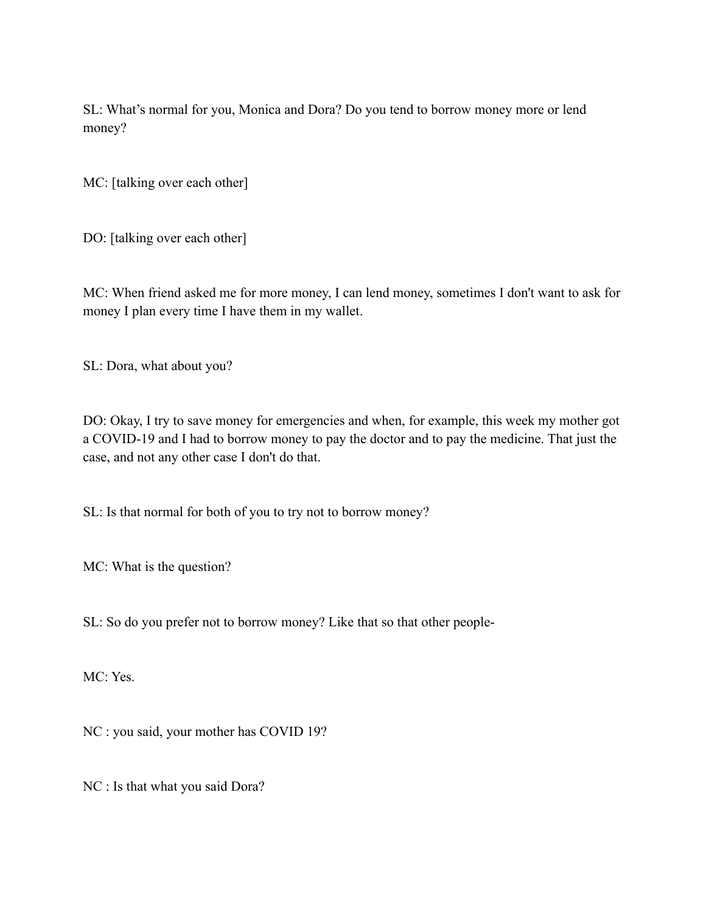SL: What's normal for you, Monica and Dora? Do you tend to borrow money more or lend money?

MC: [talking over each other]

DO: [talking over each other]

MC: When friend asked me for more money, I can lend money, sometimes I don't want to ask for money I plan every time I have them in my wallet.

SL: Dora, what about you?

DO: Okay, I try to save money for emergencies and when, for example, this week my mother got a COVID-19 and I had to borrow money to pay the doctor and to pay the medicine. That just the case, and not any other case I don't do that.

SL: Is that normal for both of you to try not to borrow money?

MC: What is the question?

SL: So do you prefer not to borrow money? Like that so that other people-

MC: Yes.

NC : you said, your mother has COVID 19?

NC : Is that what you said Dora?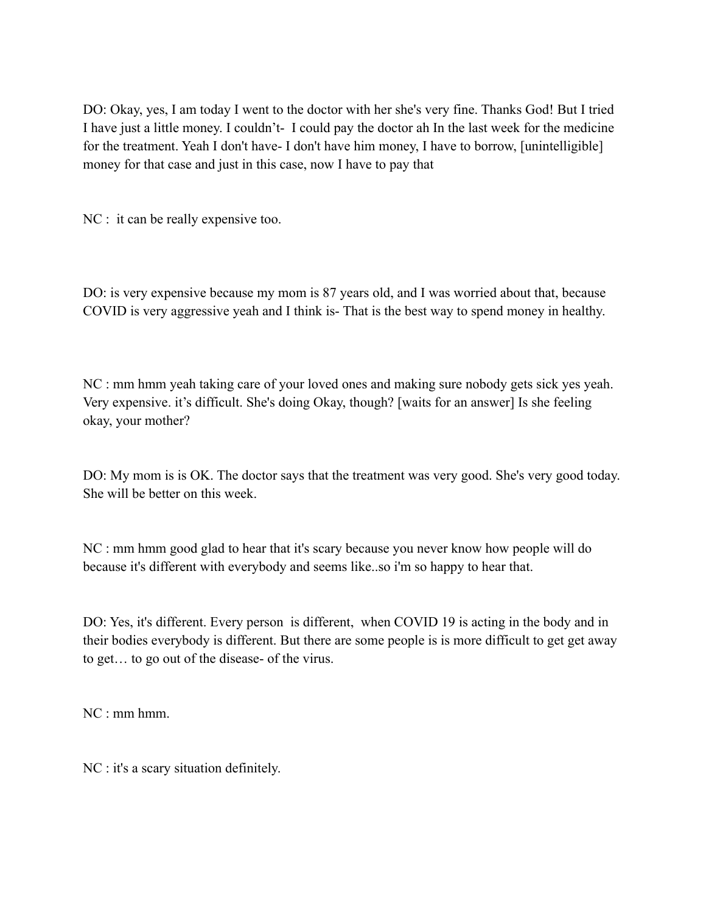DO: Okay, yes, I am today I went to the doctor with her she's very fine. Thanks God! But I tried I have just a little money. I couldn't- I could pay the doctor ah In the last week for the medicine for the treatment. Yeah I don't have- I don't have him money, I have to borrow, [unintelligible] money for that case and just in this case, now I have to pay that

NC : it can be really expensive too.

DO: is very expensive because my mom is 87 years old, and I was worried about that, because COVID is very aggressive yeah and I think is- That is the best way to spend money in healthy.

NC : mm hmm yeah taking care of your loved ones and making sure nobody gets sick yes yeah. Very expensive. it's difficult. She's doing Okay, though? [waits for an answer] Is she feeling okay, your mother?

DO: My mom is is OK. The doctor says that the treatment was very good. She's very good today. She will be better on this week.

NC : mm hmm good glad to hear that it's scary because you never know how people will do because it's different with everybody and seems like..so i'm so happy to hear that.

DO: Yes, it's different. Every person is different, when COVID 19 is acting in the body and in their bodies everybody is different. But there are some people is is more difficult to get get away to get… to go out of the disease- of the virus.

 $NC \cdot$  mm hmm.

NC : it's a scary situation definitely.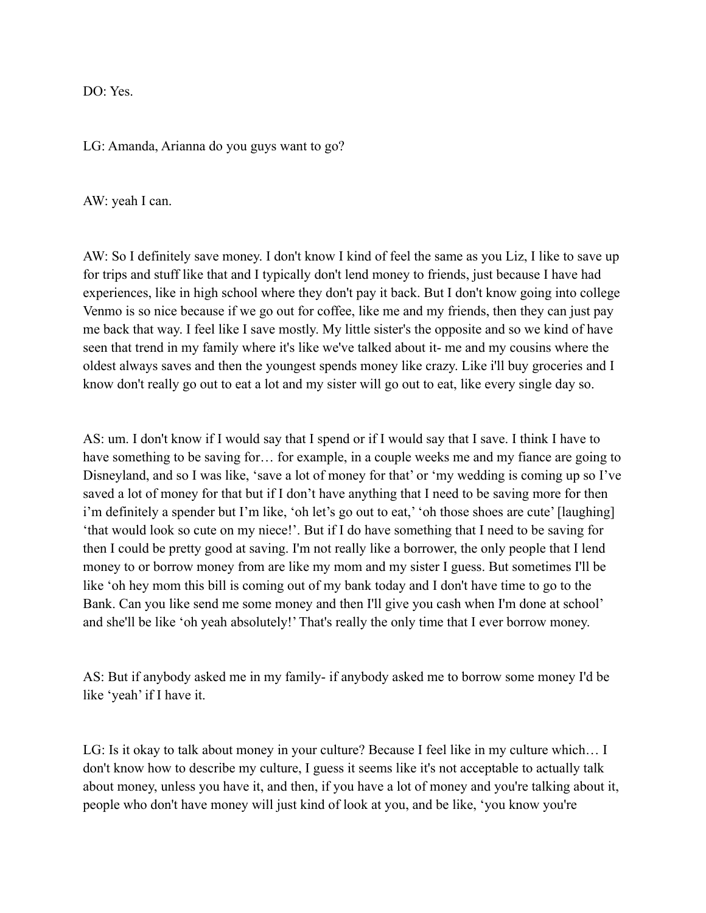$DO· Yes$ 

LG: Amanda, Arianna do you guys want to go?

AW: yeah I can.

AW: So I definitely save money. I don't know I kind of feel the same as you Liz, I like to save up for trips and stuff like that and I typically don't lend money to friends, just because I have had experiences, like in high school where they don't pay it back. But I don't know going into college Venmo is so nice because if we go out for coffee, like me and my friends, then they can just pay me back that way. I feel like I save mostly. My little sister's the opposite and so we kind of have seen that trend in my family where it's like we've talked about it- me and my cousins where the oldest always saves and then the youngest spends money like crazy. Like i'll buy groceries and I know don't really go out to eat a lot and my sister will go out to eat, like every single day so.

AS: um. I don't know if I would say that I spend or if I would say that I save. I think I have to have something to be saving for... for example, in a couple weeks me and my fiance are going to Disneyland, and so I was like, 'save a lot of money for that' or 'my wedding is coming up so I've saved a lot of money for that but if I don't have anything that I need to be saving more for then i'm definitely a spender but I'm like, 'oh let's go out to eat,' 'oh those shoes are cute' [laughing] 'that would look so cute on my niece!'. But if I do have something that I need to be saving for then I could be pretty good at saving. I'm not really like a borrower, the only people that I lend money to or borrow money from are like my mom and my sister I guess. But sometimes I'll be like 'oh hey mom this bill is coming out of my bank today and I don't have time to go to the Bank. Can you like send me some money and then I'll give you cash when I'm done at school' and she'll be like 'oh yeah absolutely!' That's really the only time that I ever borrow money.

AS: But if anybody asked me in my family- if anybody asked me to borrow some money I'd be like 'yeah' if I have it.

LG: Is it okay to talk about money in your culture? Because I feel like in my culture which… I don't know how to describe my culture, I guess it seems like it's not acceptable to actually talk about money, unless you have it, and then, if you have a lot of money and you're talking about it, people who don't have money will just kind of look at you, and be like, 'you know you're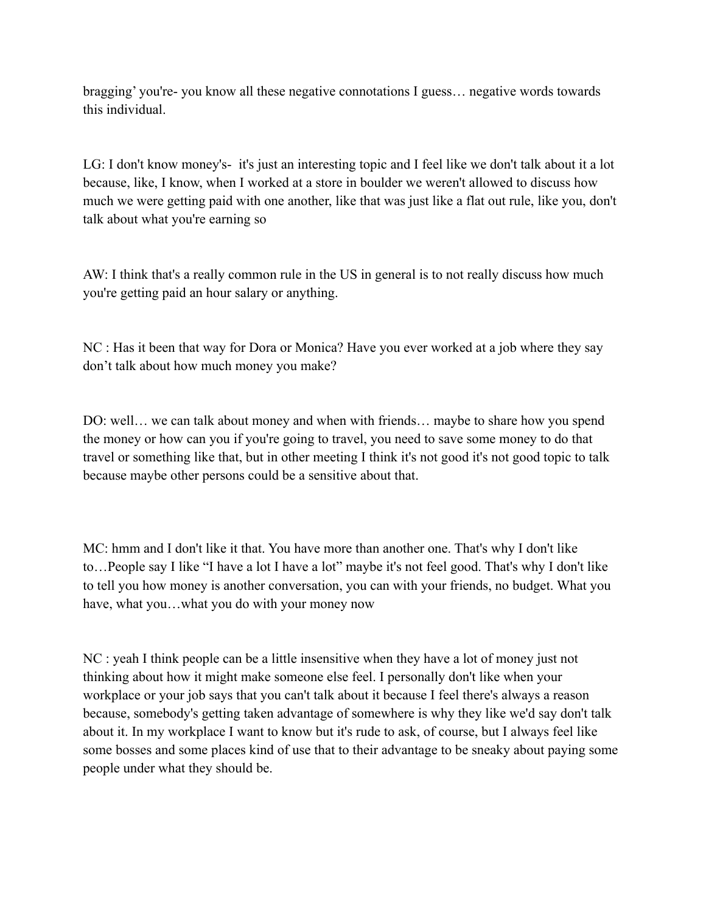bragging' you're- you know all these negative connotations I guess… negative words towards this individual.

LG: I don't know money's- it's just an interesting topic and I feel like we don't talk about it a lot because, like, I know, when I worked at a store in boulder we weren't allowed to discuss how much we were getting paid with one another, like that was just like a flat out rule, like you, don't talk about what you're earning so

AW: I think that's a really common rule in the US in general is to not really discuss how much you're getting paid an hour salary or anything.

NC : Has it been that way for Dora or Monica? Have you ever worked at a job where they say don't talk about how much money you make?

DO: well… we can talk about money and when with friends… maybe to share how you spend the money or how can you if you're going to travel, you need to save some money to do that travel or something like that, but in other meeting I think it's not good it's not good topic to talk because maybe other persons could be a sensitive about that.

MC: hmm and I don't like it that. You have more than another one. That's why I don't like to…People say I like "I have a lot I have a lot" maybe it's not feel good. That's why I don't like to tell you how money is another conversation, you can with your friends, no budget. What you have, what you…what you do with your money now

NC : yeah I think people can be a little insensitive when they have a lot of money just not thinking about how it might make someone else feel. I personally don't like when your workplace or your job says that you can't talk about it because I feel there's always a reason because, somebody's getting taken advantage of somewhere is why they like we'd say don't talk about it. In my workplace I want to know but it's rude to ask, of course, but I always feel like some bosses and some places kind of use that to their advantage to be sneaky about paying some people under what they should be.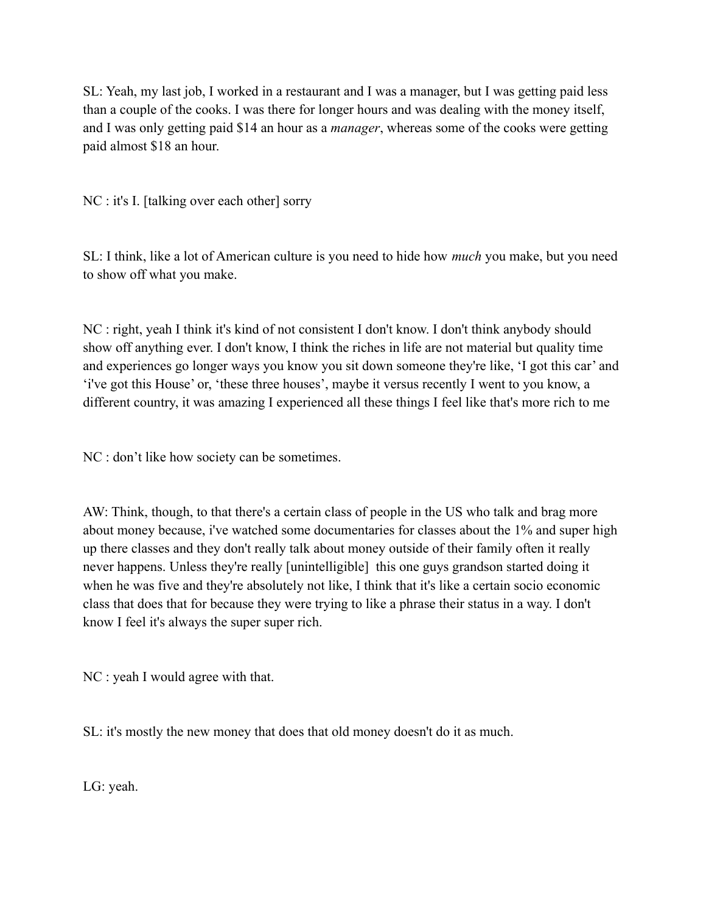SL: Yeah, my last job, I worked in a restaurant and I was a manager, but I was getting paid less than a couple of the cooks. I was there for longer hours and was dealing with the money itself, and I was only getting paid \$14 an hour as a *manager*, whereas some of the cooks were getting paid almost \$18 an hour.

NC : it's I. [talking over each other] sorry

SL: I think, like a lot of American culture is you need to hide how *much* you make, but you need to show off what you make.

NC : right, yeah I think it's kind of not consistent I don't know. I don't think anybody should show off anything ever. I don't know, I think the riches in life are not material but quality time and experiences go longer ways you know you sit down someone they're like, 'I got this car' and 'i've got this House' or, 'these three houses', maybe it versus recently I went to you know, a different country, it was amazing I experienced all these things I feel like that's more rich to me

NC : don't like how society can be sometimes.

AW: Think, though, to that there's a certain class of people in the US who talk and brag more about money because, i've watched some documentaries for classes about the 1% and super high up there classes and they don't really talk about money outside of their family often it really never happens. Unless they're really [unintelligible] this one guys grandson started doing it when he was five and they're absolutely not like, I think that it's like a certain socio economic class that does that for because they were trying to like a phrase their status in a way. I don't know I feel it's always the super super rich.

NC : yeah I would agree with that.

SL: it's mostly the new money that does that old money doesn't do it as much.

LG: yeah.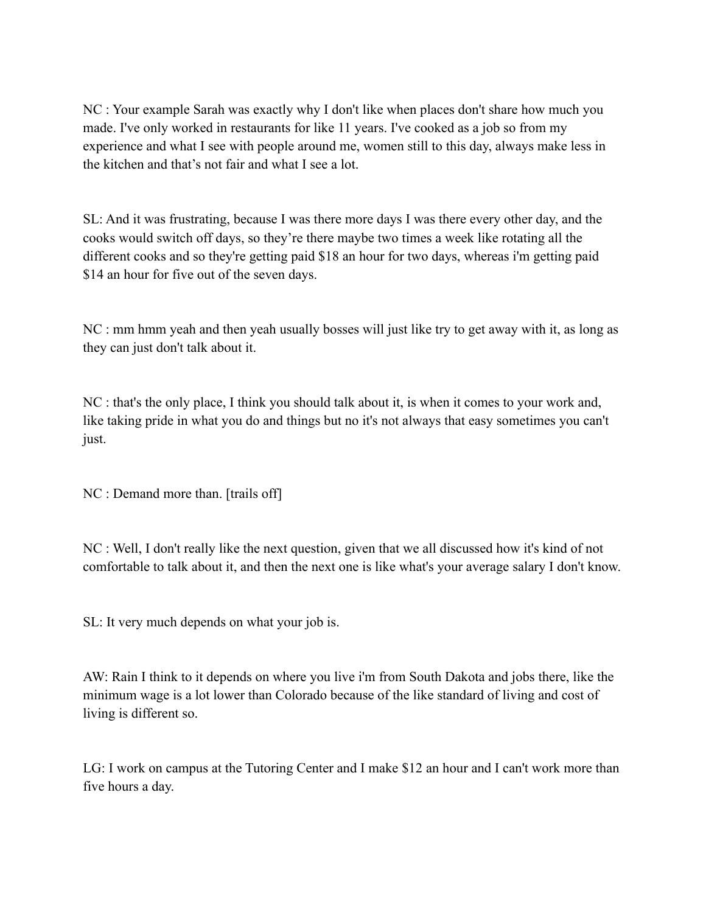NC : Your example Sarah was exactly why I don't like when places don't share how much you made. I've only worked in restaurants for like 11 years. I've cooked as a job so from my experience and what I see with people around me, women still to this day, always make less in the kitchen and that's not fair and what I see a lot.

SL: And it was frustrating, because I was there more days I was there every other day, and the cooks would switch off days, so they're there maybe two times a week like rotating all the different cooks and so they're getting paid \$18 an hour for two days, whereas i'm getting paid \$14 an hour for five out of the seven days.

NC : mm hmm yeah and then yeah usually bosses will just like try to get away with it, as long as they can just don't talk about it.

NC : that's the only place, I think you should talk about it, is when it comes to your work and, like taking pride in what you do and things but no it's not always that easy sometimes you can't just.

NC : Demand more than. [trails off]

NC : Well, I don't really like the next question, given that we all discussed how it's kind of not comfortable to talk about it, and then the next one is like what's your average salary I don't know.

SL: It very much depends on what your job is.

AW: Rain I think to it depends on where you live i'm from South Dakota and jobs there, like the minimum wage is a lot lower than Colorado because of the like standard of living and cost of living is different so.

LG: I work on campus at the Tutoring Center and I make \$12 an hour and I can't work more than five hours a day.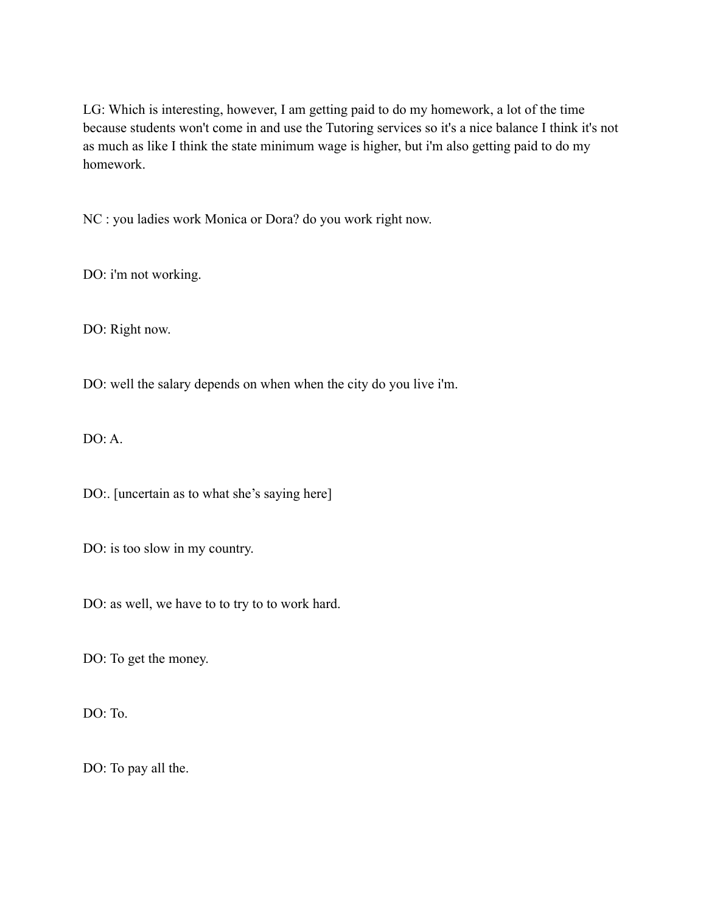LG: Which is interesting, however, I am getting paid to do my homework, a lot of the time because students won't come in and use the Tutoring services so it's a nice balance I think it's not as much as like I think the state minimum wage is higher, but i'm also getting paid to do my homework.

NC : you ladies work Monica or Dora? do you work right now.

DO: i'm not working.

DO: Right now.

DO: well the salary depends on when when the city do you live i'm.

 $DO: A.$ 

DO:. [uncertain as to what she's saying here]

DO: is too slow in my country.

DO: as well, we have to to try to to work hard.

DO: To get the money.

DO: To.

DO: To pay all the.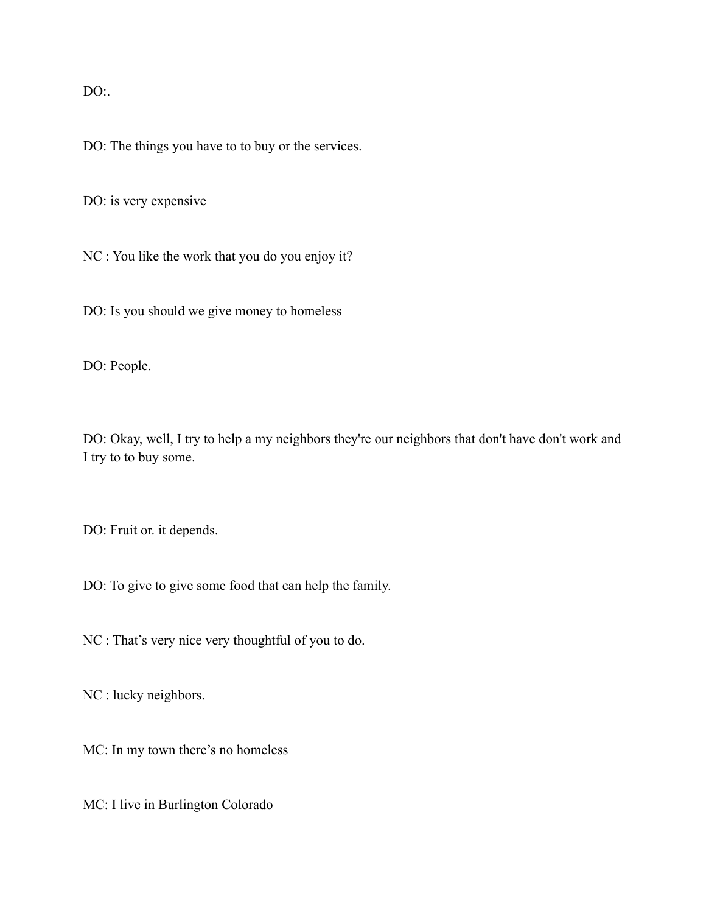$DO:$ 

DO: The things you have to to buy or the services.

DO: is very expensive

NC : You like the work that you do you enjoy it?

DO: Is you should we give money to homeless

DO: People.

DO: Okay, well, I try to help a my neighbors they're our neighbors that don't have don't work and I try to to buy some.

DO: Fruit or. it depends.

DO: To give to give some food that can help the family.

NC : That's very nice very thoughtful of you to do.

NC : lucky neighbors.

MC: In my town there's no homeless

MC: I live in Burlington Colorado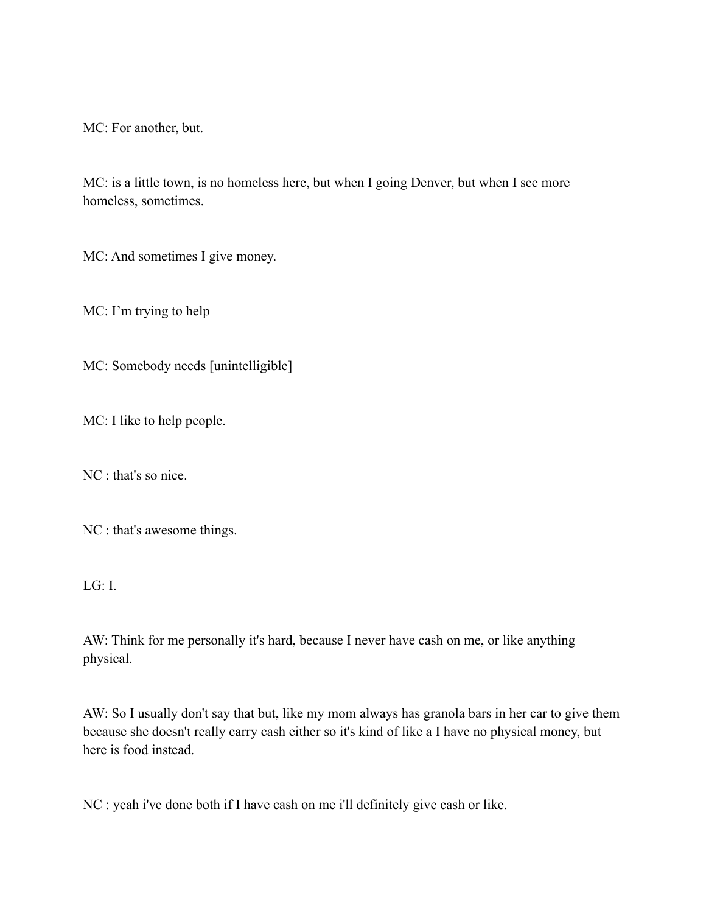MC: For another, but.

MC: is a little town, is no homeless here, but when I going Denver, but when I see more homeless, sometimes.

MC: And sometimes I give money.

MC: I'm trying to help

MC: Somebody needs [unintelligible]

MC: I like to help people.

NC : that's so nice.

NC : that's awesome things.

LG: I.

AW: Think for me personally it's hard, because I never have cash on me, or like anything physical.

AW: So I usually don't say that but, like my mom always has granola bars in her car to give them because she doesn't really carry cash either so it's kind of like a I have no physical money, but here is food instead.

NC : yeah i've done both if I have cash on me i'll definitely give cash or like.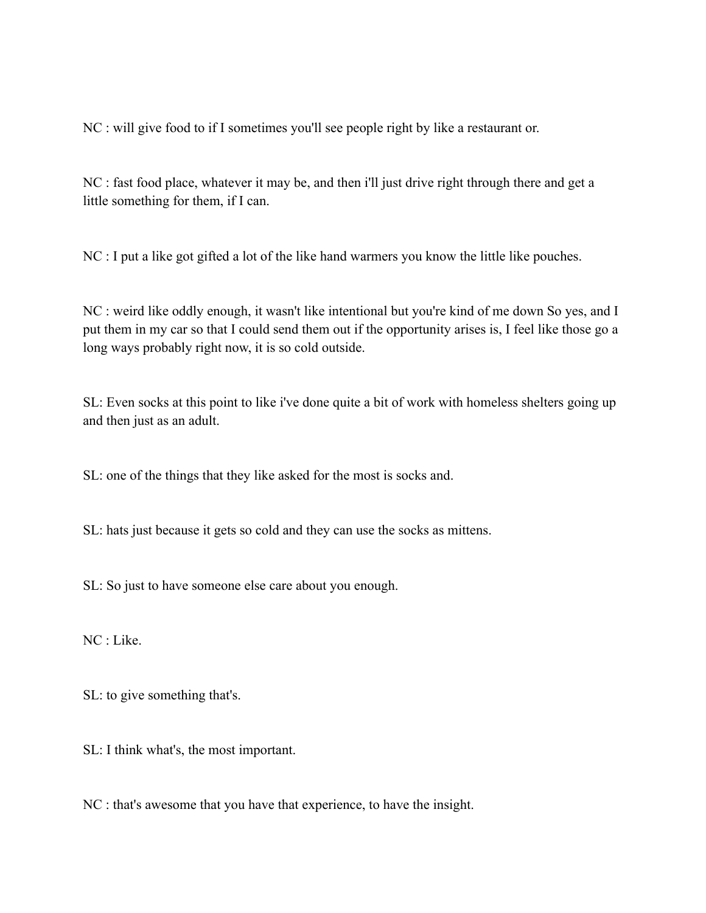NC : will give food to if I sometimes you'll see people right by like a restaurant or.

NC : fast food place, whatever it may be, and then i'll just drive right through there and get a little something for them, if I can.

NC : I put a like got gifted a lot of the like hand warmers you know the little like pouches.

NC : weird like oddly enough, it wasn't like intentional but you're kind of me down So yes, and I put them in my car so that I could send them out if the opportunity arises is, I feel like those go a long ways probably right now, it is so cold outside.

SL: Even socks at this point to like i've done quite a bit of work with homeless shelters going up and then just as an adult.

SL: one of the things that they like asked for the most is socks and.

SL: hats just because it gets so cold and they can use the socks as mittens.

SL: So just to have someone else care about you enough.

NC : Like.

SL: to give something that's.

SL: I think what's, the most important.

NC : that's awesome that you have that experience, to have the insight.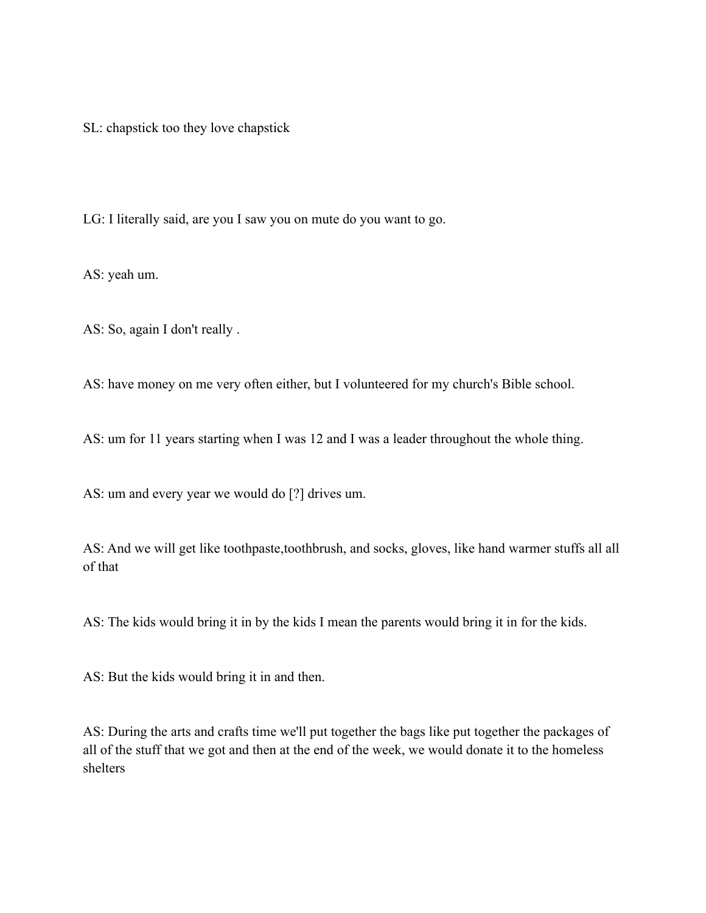SL: chapstick too they love chapstick

LG: I literally said, are you I saw you on mute do you want to go.

AS: yeah um.

AS: So, again I don't really .

AS: have money on me very often either, but I volunteered for my church's Bible school.

AS: um for 11 years starting when I was 12 and I was a leader throughout the whole thing.

AS: um and every year we would do [?] drives um.

AS: And we will get like toothpaste,toothbrush, and socks, gloves, like hand warmer stuffs all all of that

AS: The kids would bring it in by the kids I mean the parents would bring it in for the kids.

AS: But the kids would bring it in and then.

AS: During the arts and crafts time we'll put together the bags like put together the packages of all of the stuff that we got and then at the end of the week, we would donate it to the homeless shelters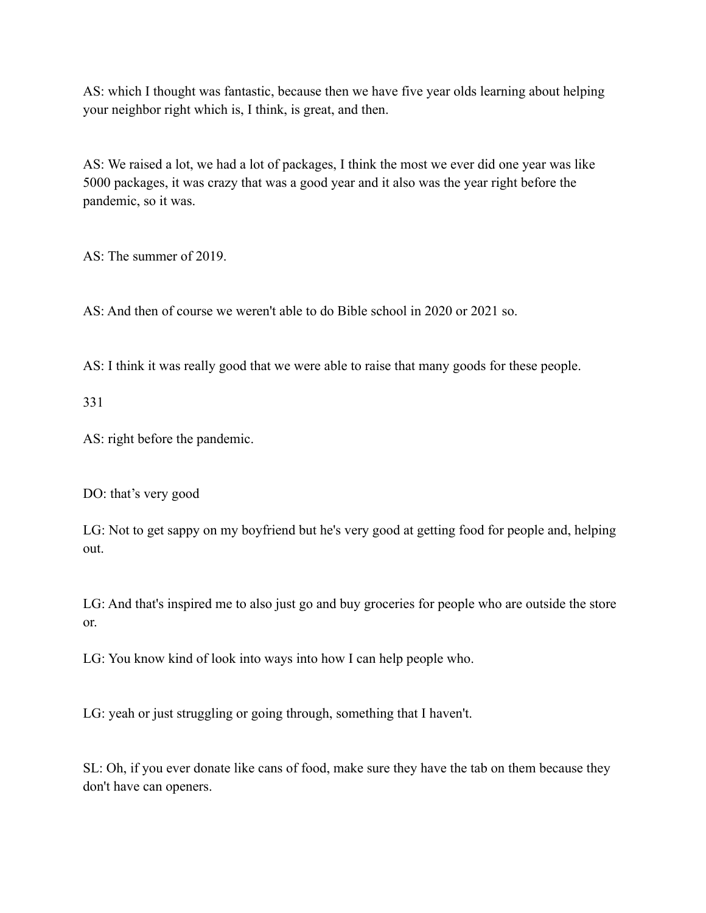AS: which I thought was fantastic, because then we have five year olds learning about helping your neighbor right which is, I think, is great, and then.

AS: We raised a lot, we had a lot of packages, I think the most we ever did one year was like 5000 packages, it was crazy that was a good year and it also was the year right before the pandemic, so it was.

AS: The summer of 2019.

AS: And then of course we weren't able to do Bible school in 2020 or 2021 so.

AS: I think it was really good that we were able to raise that many goods for these people.

331

AS: right before the pandemic.

DO: that's very good

LG: Not to get sappy on my boyfriend but he's very good at getting food for people and, helping out.

LG: And that's inspired me to also just go and buy groceries for people who are outside the store or.

LG: You know kind of look into ways into how I can help people who.

LG: yeah or just struggling or going through, something that I haven't.

SL: Oh, if you ever donate like cans of food, make sure they have the tab on them because they don't have can openers.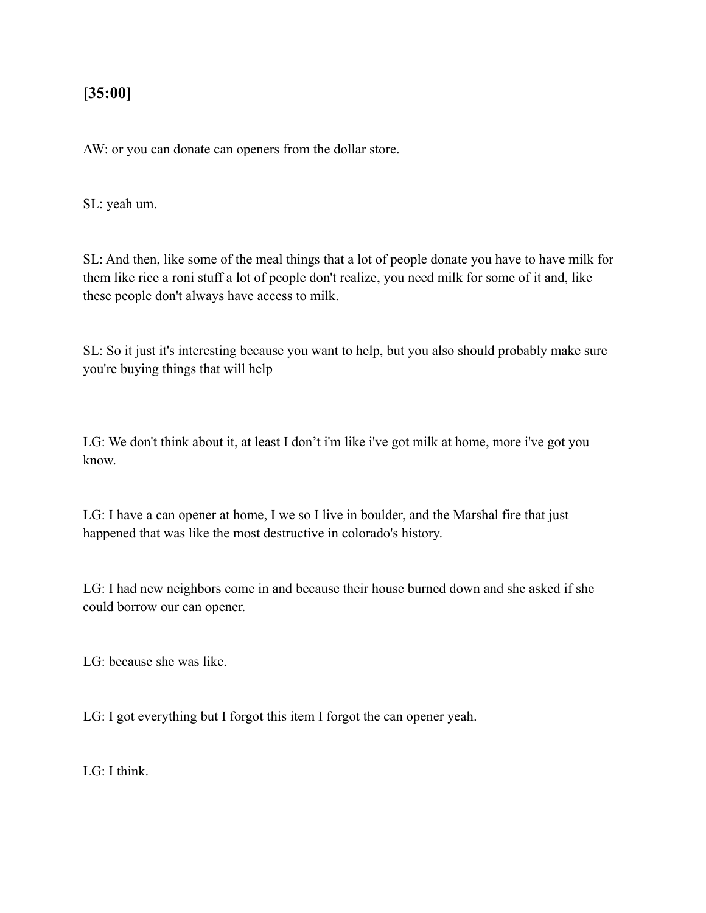### **[35:00]**

AW: or you can donate can openers from the dollar store.

SL: yeah um.

SL: And then, like some of the meal things that a lot of people donate you have to have milk for them like rice a roni stuff a lot of people don't realize, you need milk for some of it and, like these people don't always have access to milk.

SL: So it just it's interesting because you want to help, but you also should probably make sure you're buying things that will help

LG: We don't think about it, at least I don't i'm like i've got milk at home, more i've got you know.

LG: I have a can opener at home, I we so I live in boulder, and the Marshal fire that just happened that was like the most destructive in colorado's history.

LG: I had new neighbors come in and because their house burned down and she asked if she could borrow our can opener.

LG: because she was like.

LG: I got everything but I forgot this item I forgot the can opener yeah.

 $LG:$  I think.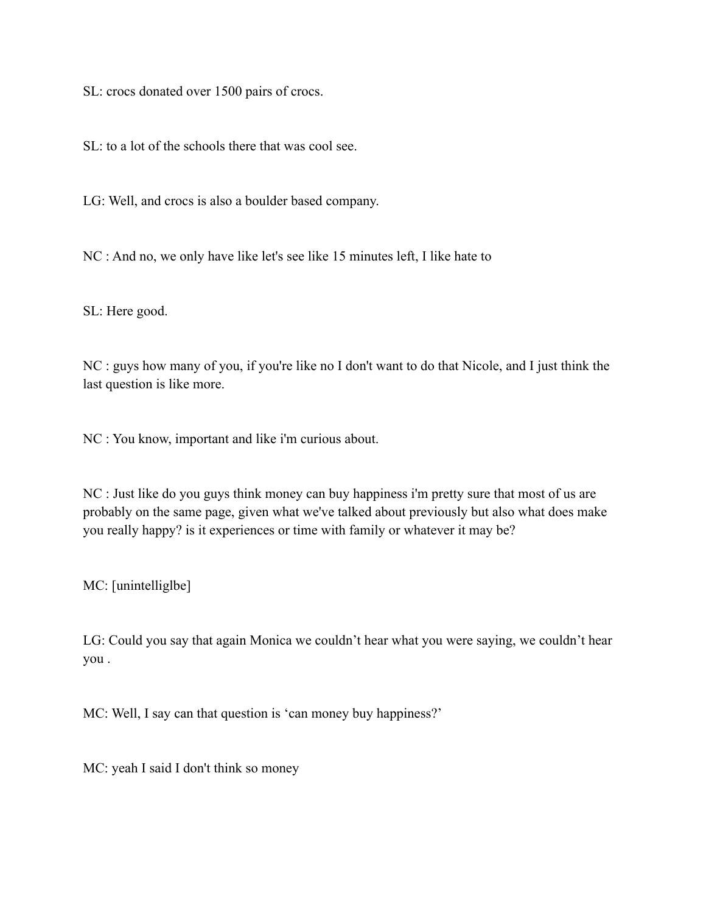SL: crocs donated over 1500 pairs of crocs.

SL: to a lot of the schools there that was cool see.

LG: Well, and crocs is also a boulder based company.

NC : And no, we only have like let's see like 15 minutes left, I like hate to

SL: Here good.

NC : guys how many of you, if you're like no I don't want to do that Nicole, and I just think the last question is like more.

NC : You know, important and like i'm curious about.

NC : Just like do you guys think money can buy happiness i'm pretty sure that most of us are probably on the same page, given what we've talked about previously but also what does make you really happy? is it experiences or time with family or whatever it may be?

MC: [unintelliglbe]

LG: Could you say that again Monica we couldn't hear what you were saying, we couldn't hear you .

MC: Well, I say can that question is 'can money buy happiness?'

MC: yeah I said I don't think so money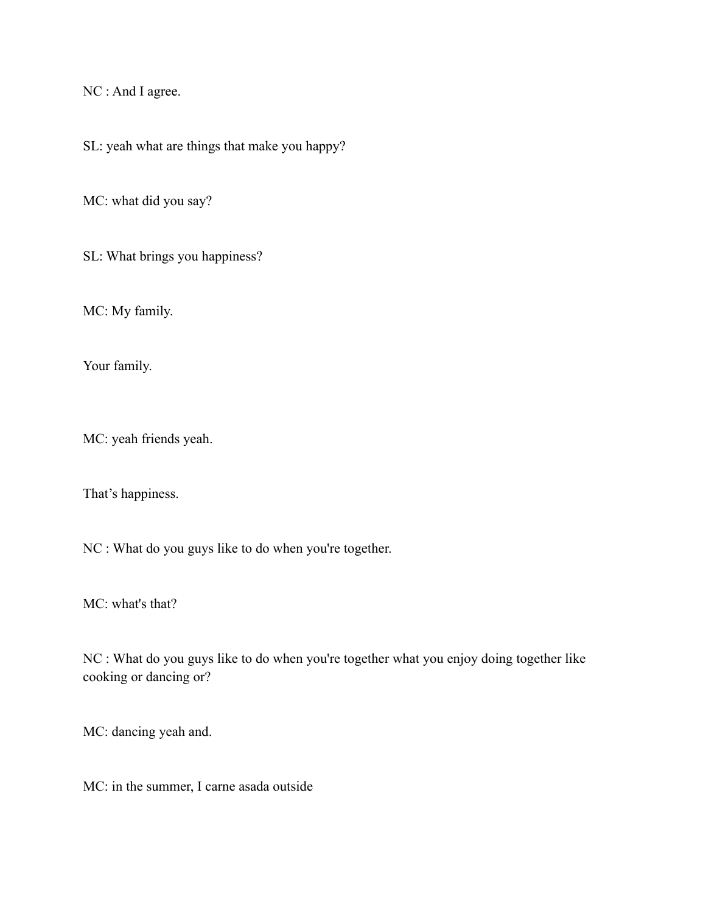NC : And I agree.

SL: yeah what are things that make you happy?

MC: what did you say?

SL: What brings you happiness?

MC: My family.

Your family.

MC: yeah friends yeah.

That's happiness.

NC : What do you guys like to do when you're together.

MC: what's that?

NC : What do you guys like to do when you're together what you enjoy doing together like cooking or dancing or?

MC: dancing yeah and.

MC: in the summer, I carne asada outside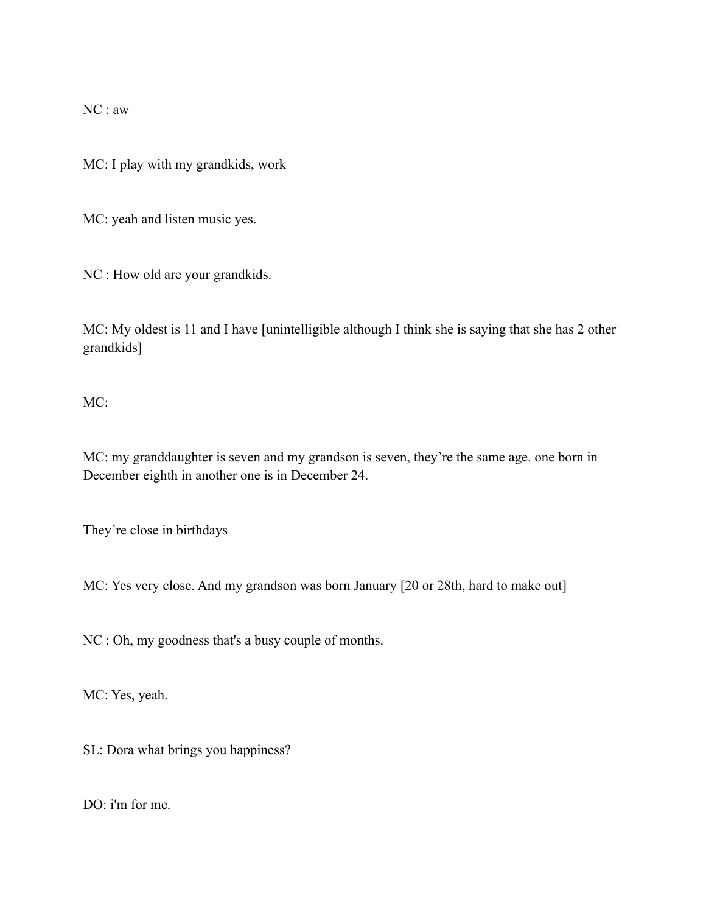NC : aw

MC: I play with my grandkids, work

MC: yeah and listen music yes.

NC : How old are your grandkids.

MC: My oldest is 11 and I have [unintelligible although I think she is saying that she has 2 other grandkids]

MC:

MC: my granddaughter is seven and my grandson is seven, they're the same age. one born in December eighth in another one is in December 24.

They're close in birthdays

MC: Yes very close. And my grandson was born January [20 or 28th, hard to make out]

NC : Oh, my goodness that's a busy couple of months.

MC: Yes, yeah.

SL: Dora what brings you happiness?

DO: i'm for me.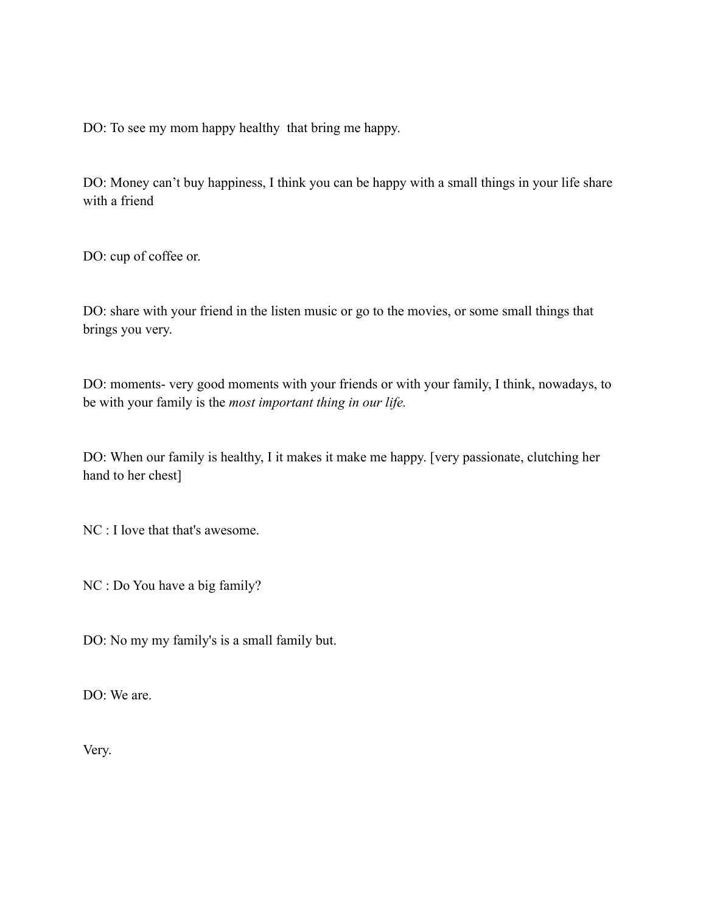DO: To see my mom happy healthy that bring me happy.

DO: Money can't buy happiness, I think you can be happy with a small things in your life share with a friend

DO: cup of coffee or.

DO: share with your friend in the listen music or go to the movies, or some small things that brings you very.

DO: moments- very good moments with your friends or with your family, I think, nowadays, to be with your family is the *most important thing in our life.*

DO: When our family is healthy, I it makes it make me happy. [very passionate, clutching her hand to her chest]

NC : I love that that's awesome.

NC : Do You have a big family?

DO: No my my family's is a small family but.

DO: We are.

Very.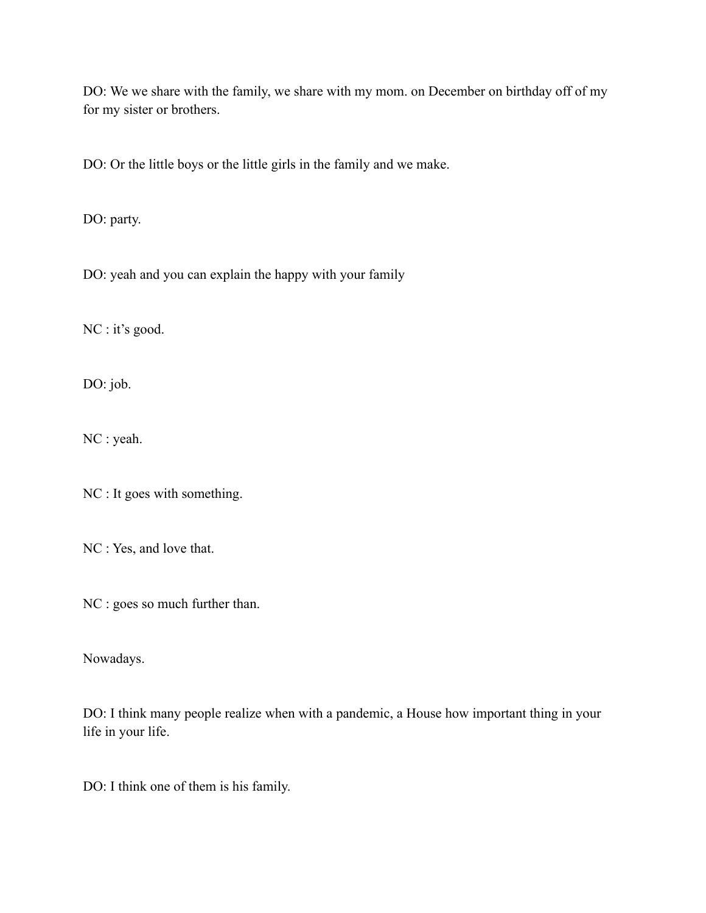DO: We we share with the family, we share with my mom. on December on birthday off of my for my sister or brothers.

DO: Or the little boys or the little girls in the family and we make.

DO: party.

DO: yeah and you can explain the happy with your family

NC : it's good.

DO: job.

NC : yeah.

NC : It goes with something.

NC : Yes, and love that.

NC : goes so much further than.

Nowadays.

DO: I think many people realize when with a pandemic, a House how important thing in your life in your life.

DO: I think one of them is his family.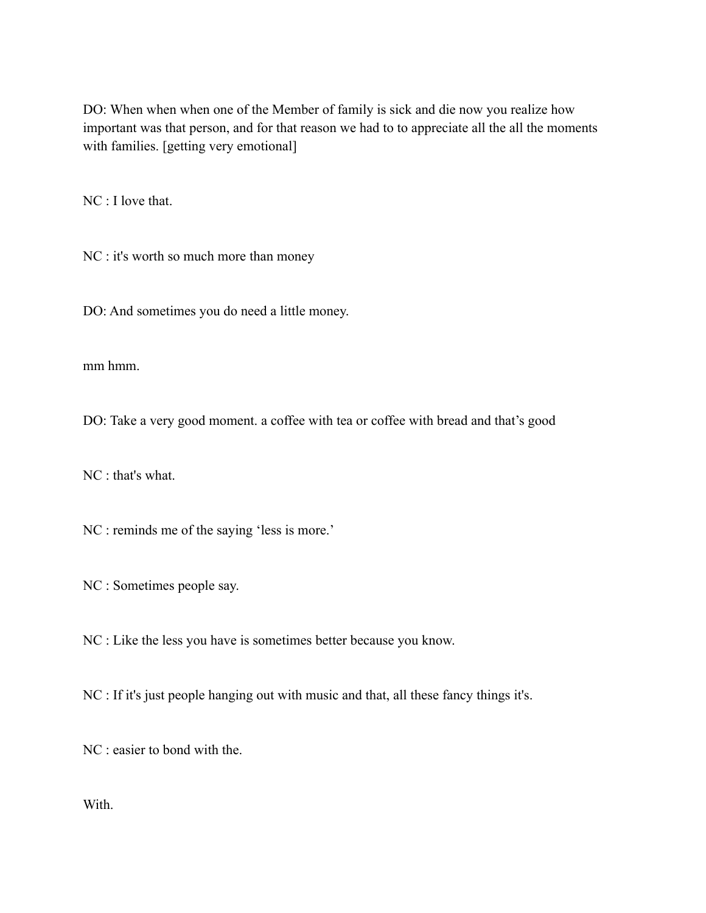DO: When when when one of the Member of family is sick and die now you realize how important was that person, and for that reason we had to to appreciate all the all the moments with families. [getting very emotional]

NC : I love that.

NC : it's worth so much more than money

DO: And sometimes you do need a little money.

mm hmm.

DO: Take a very good moment. a coffee with tea or coffee with bread and that's good

NC : that's what.

NC : reminds me of the saying 'less is more.'

NC : Sometimes people say.

NC : Like the less you have is sometimes better because you know.

NC : If it's just people hanging out with music and that, all these fancy things it's.

NC : easier to bond with the.

With.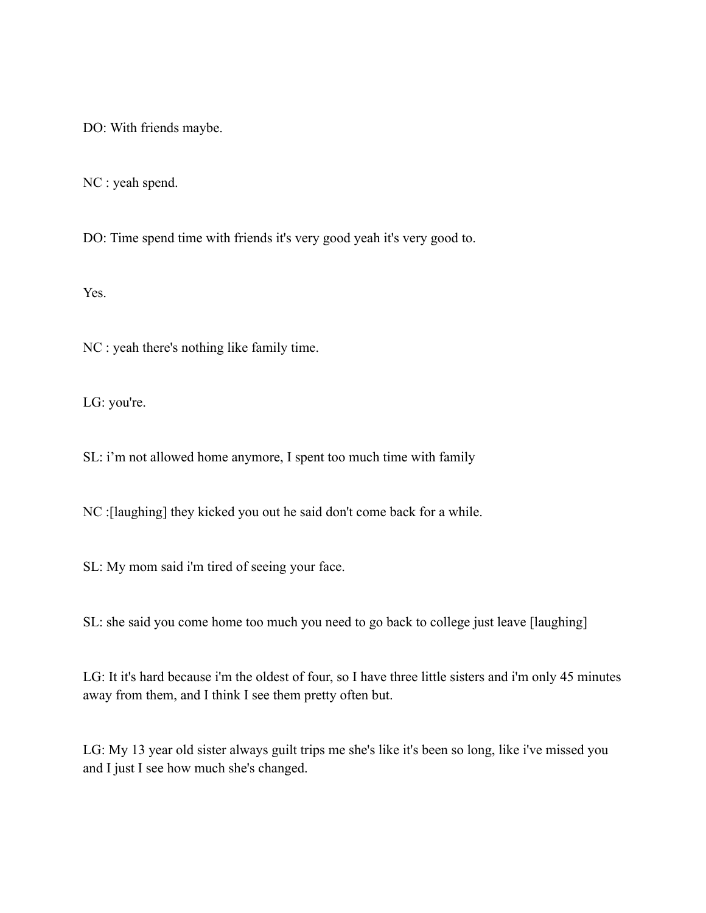DO: With friends maybe.

NC : yeah spend.

DO: Time spend time with friends it's very good yeah it's very good to.

Yes.

NC : yeah there's nothing like family time.

LG: you're.

SL: i'm not allowed home anymore, I spent too much time with family

NC :[laughing] they kicked you out he said don't come back for a while.

SL: My mom said i'm tired of seeing your face.

SL: she said you come home too much you need to go back to college just leave [laughing]

LG: It it's hard because i'm the oldest of four, so I have three little sisters and i'm only 45 minutes away from them, and I think I see them pretty often but.

LG: My 13 year old sister always guilt trips me she's like it's been so long, like i've missed you and I just I see how much she's changed.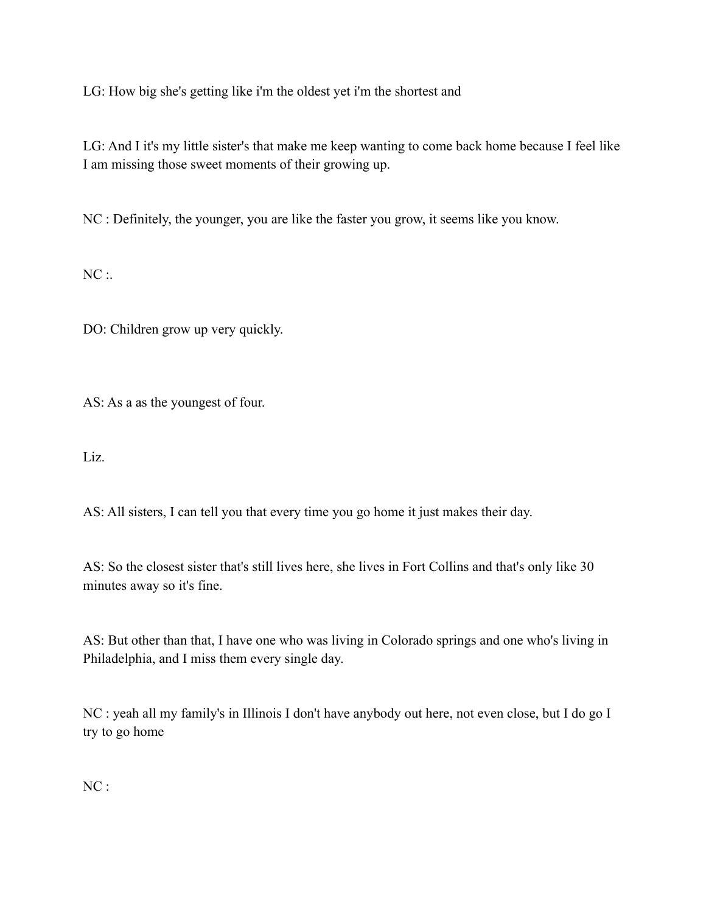LG: How big she's getting like i'm the oldest yet i'm the shortest and

LG: And I it's my little sister's that make me keep wanting to come back home because I feel like I am missing those sweet moments of their growing up.

NC : Definitely, the younger, you are like the faster you grow, it seems like you know.

 $NC:$ 

DO: Children grow up very quickly.

AS: As a as the youngest of four.

Liz.

AS: All sisters, I can tell you that every time you go home it just makes their day.

AS: So the closest sister that's still lives here, she lives in Fort Collins and that's only like 30 minutes away so it's fine.

AS: But other than that, I have one who was living in Colorado springs and one who's living in Philadelphia, and I miss them every single day.

NC : yeah all my family's in Illinois I don't have anybody out here, not even close, but I do go I try to go home

NC :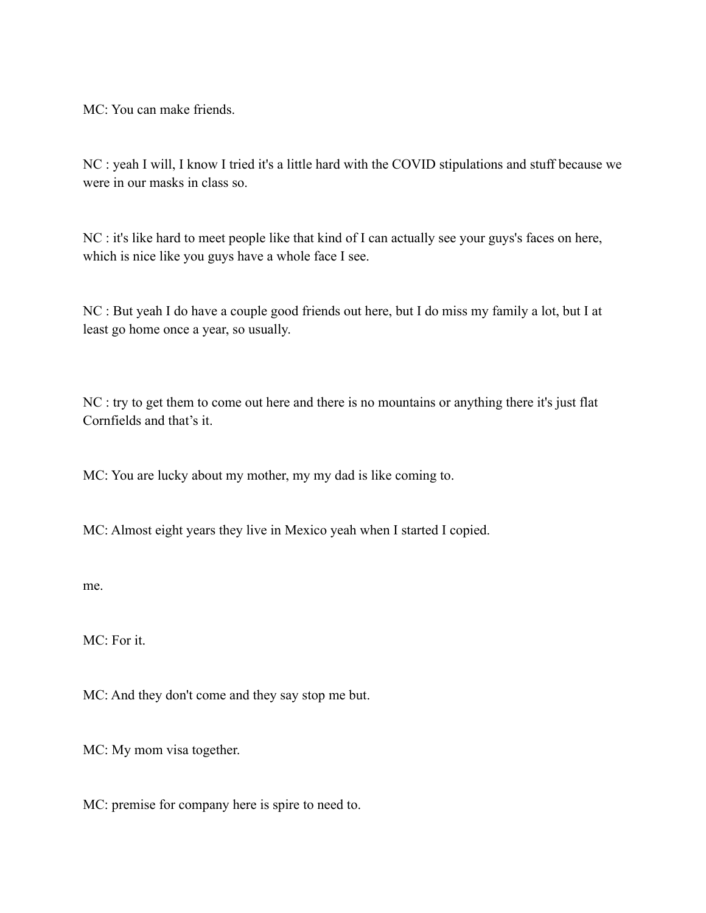MC: You can make friends.

NC : yeah I will, I know I tried it's a little hard with the COVID stipulations and stuff because we were in our masks in class so.

NC : it's like hard to meet people like that kind of I can actually see your guys's faces on here, which is nice like you guys have a whole face I see.

NC : But yeah I do have a couple good friends out here, but I do miss my family a lot, but I at least go home once a year, so usually.

NC : try to get them to come out here and there is no mountains or anything there it's just flat Cornfields and that's it.

MC: You are lucky about my mother, my my dad is like coming to.

MC: Almost eight years they live in Mexico yeah when I started I copied.

me.

MC: For it.

MC: And they don't come and they say stop me but.

MC: My mom visa together.

MC: premise for company here is spire to need to.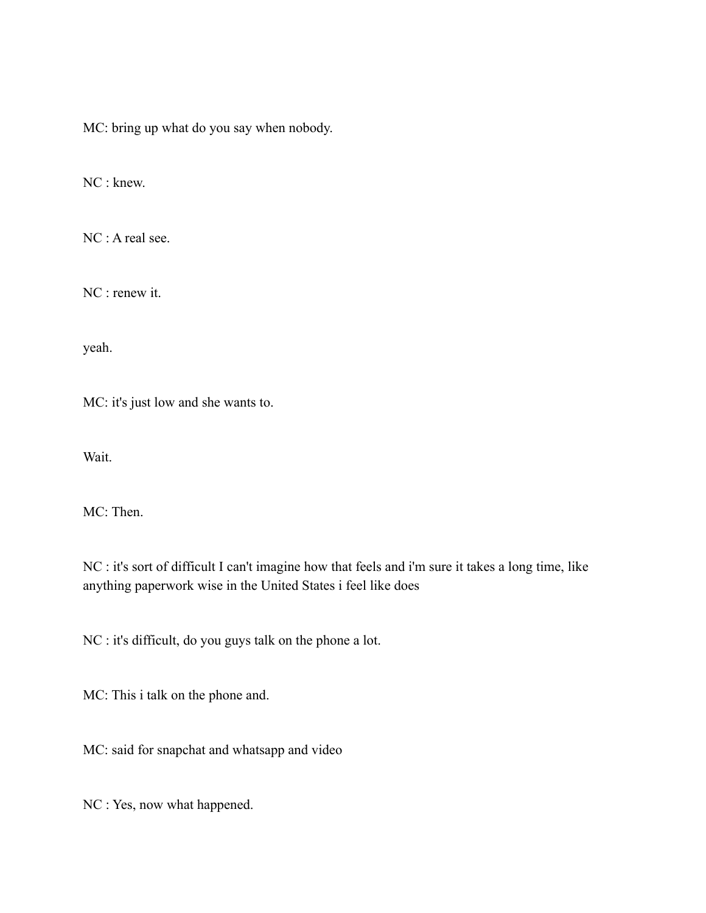MC: bring up what do you say when nobody.

NC : knew.

NC : A real see.

NC : renew it.

yeah.

MC: it's just low and she wants to.

Wait.

MC: Then.

NC : it's sort of difficult I can't imagine how that feels and i'm sure it takes a long time, like anything paperwork wise in the United States i feel like does

NC : it's difficult, do you guys talk on the phone a lot.

MC: This i talk on the phone and.

MC: said for snapchat and whatsapp and video

NC : Yes, now what happened.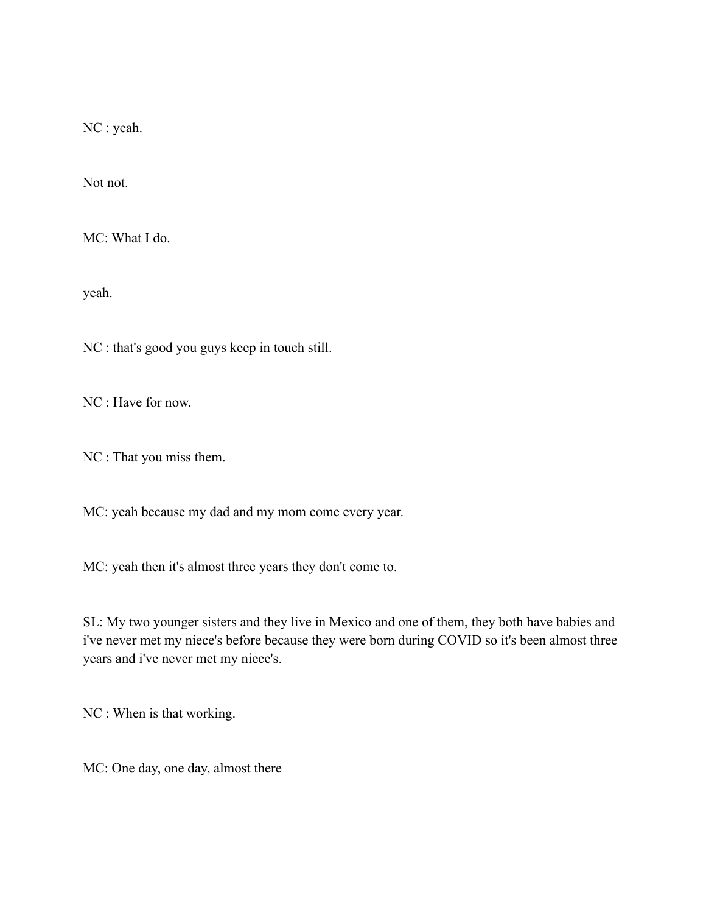NC : yeah.

Not not.

MC: What I do.

yeah.

NC : that's good you guys keep in touch still.

NC : Have for now.

NC : That you miss them.

MC: yeah because my dad and my mom come every year.

MC: yeah then it's almost three years they don't come to.

SL: My two younger sisters and they live in Mexico and one of them, they both have babies and i've never met my niece's before because they were born during COVID so it's been almost three years and i've never met my niece's.

NC : When is that working.

MC: One day, one day, almost there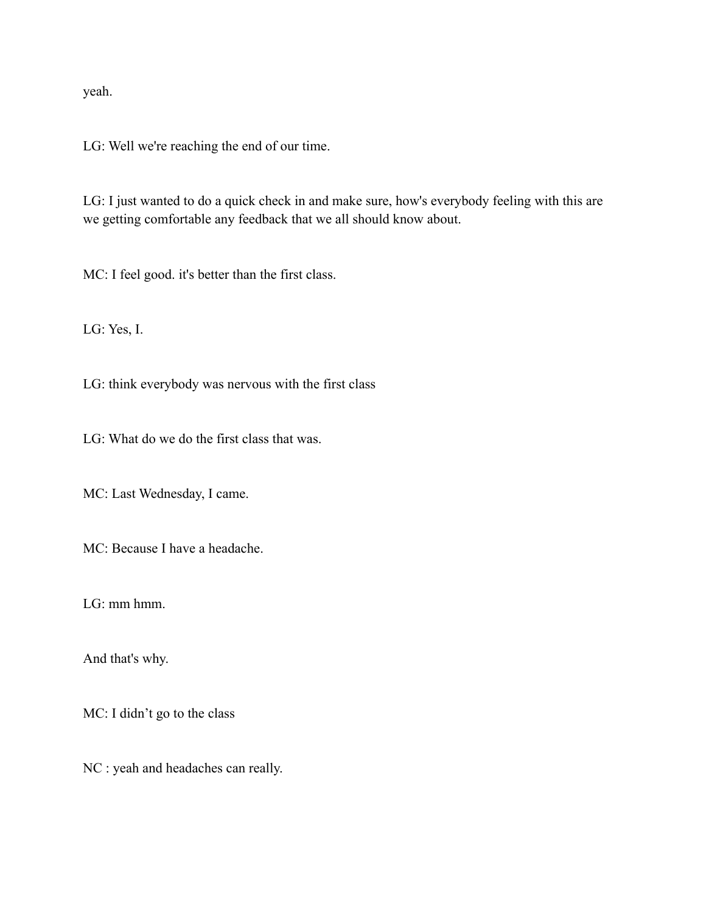yeah.

LG: Well we're reaching the end of our time.

LG: I just wanted to do a quick check in and make sure, how's everybody feeling with this are we getting comfortable any feedback that we all should know about.

MC: I feel good. it's better than the first class.

LG: Yes, I.

LG: think everybody was nervous with the first class

LG: What do we do the first class that was.

MC: Last Wednesday, I came.

MC: Because I have a headache.

LG: mm hmm.

And that's why.

MC: I didn't go to the class

NC : yeah and headaches can really.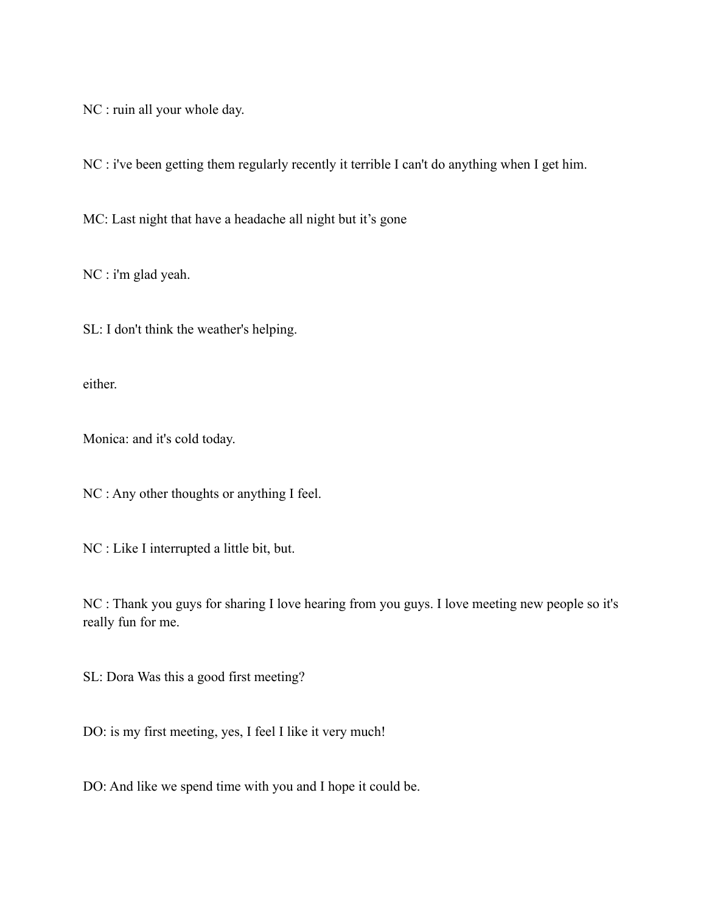NC : ruin all your whole day.

NC : i've been getting them regularly recently it terrible I can't do anything when I get him.

MC: Last night that have a headache all night but it's gone

NC : i'm glad yeah.

SL: I don't think the weather's helping.

either.

Monica: and it's cold today.

NC : Any other thoughts or anything I feel.

NC : Like I interrupted a little bit, but.

NC : Thank you guys for sharing I love hearing from you guys. I love meeting new people so it's really fun for me.

SL: Dora Was this a good first meeting?

DO: is my first meeting, yes, I feel I like it very much!

DO: And like we spend time with you and I hope it could be.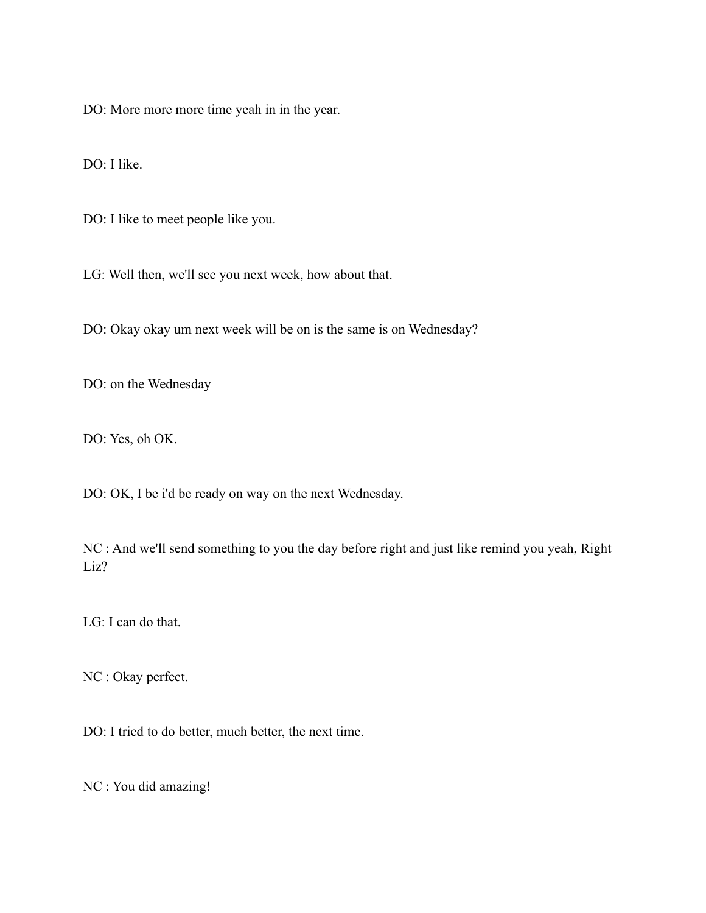DO: More more more time yeah in in the year.

DO: I like.

DO: I like to meet people like you.

LG: Well then, we'll see you next week, how about that.

DO: Okay okay um next week will be on is the same is on Wednesday?

DO: on the Wednesday

DO: Yes, oh OK.

DO: OK, I be i'd be ready on way on the next Wednesday.

NC : And we'll send something to you the day before right and just like remind you yeah, Right Liz?

LG: I can do that.

NC : Okay perfect.

DO: I tried to do better, much better, the next time.

NC : You did amazing!